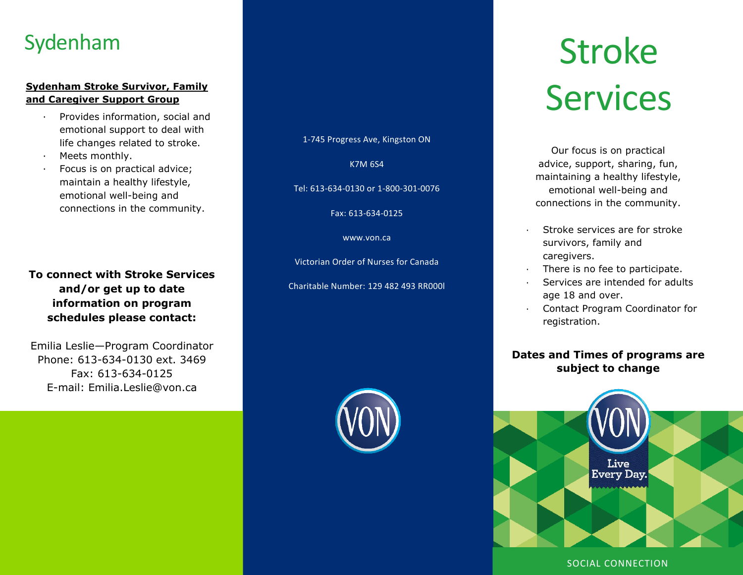# Sydenham

# **and Caregiver Support Group**

- · Provides information, social and emotional support to deal with life changes related to stroke.
- Meets monthly.
- Focus is on practical advice; maintain a healthy lifestyle, emotional well-being and connections in the community.

## **To connect with Stroke Services and/or get up to date information on program schedules please contact:**

Emilia Leslie—Program Coordinator Phone: 613-634-0130 ext. 3469 Fax: 613-634-0125 E-mail: Emilia.Leslie@von.ca

1-745 Progress Ave, Kingston ON

K7M 6S4

Tel: 613-634-0130 or 1-800-301-0076

Fax: 613-634-0125

#### www.von.ca

Victorian Order of Nurses for Canada

Charitable Number: 129 482 493 RR000l



# Stroke Sydenham Stroke Survivor, Family<br>
and Caregiver Support Group<br>
Provides information, social and

Our focus is on practical advice, support, sharing, fun, maintaining a healthy lifestyle, emotional well-being and connections in the community.

- Stroke services are for stroke survivors, family and caregivers.
- There is no fee to participate.
- Services are intended for adults age 18 and over.
- Contact Program Coordinator for registration.

## **Dates and Times of programs are subject to change**



### SOCIAL CONNECTION